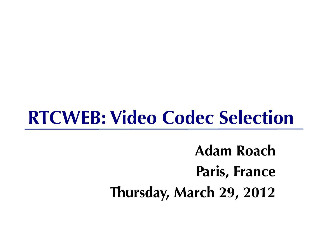#### **RTCWEB: Video Codec Selection**

**Adam Roach Paris, France Thursday, March 29, 2012**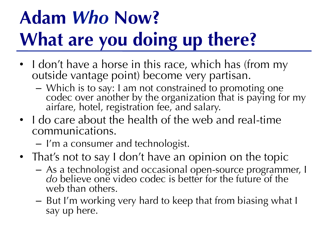#### **Adam** *Who* **Now? What are you doing up there?**

- I don't have a horse in this race, which has (from my outside vantage point) become very partisan.
	- Which is to say: I am not constrained to promoting one codec over another by the organization that is paying for my airfare, hotel, registration fee, and salary.
- I do care about the health of the web and real-time communications.
	- I'm a consumer and technologist.
- That's not to say I don't have an opinion on the topic
	- As a technologist and occasional open-source programmer, I do believe one video codec is better for the future of the web than others.
	- But I'm working very hard to keep that from biasing what I say up here.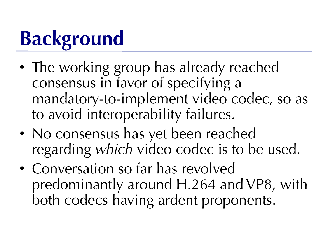## **Background**

- The working group has already reached consensus in favor of specifying a mandatory-to-implement video codec, so as to avoid interoperability failures.
- No consensus has yet been reached regarding *which* video codec is to be used.
- Conversation so far has revolved predominantly around H.264 and VP8, with both codecs having ardent proponents.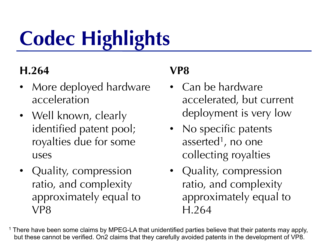# **Codec Highlights**

#### **H.264**

- More deployed hardware acceleration
- Well known, clearly identified patent pool; royalties due for some uses
- Quality, compression ratio, and complexity approximately equal to VP8

#### **VP8**

- Can be hardware accelerated, but current deployment is very low
- No specific patents asserted<sup>1</sup>, no one collecting royalties
- Quality, compression ratio, and complexity approximately equal to H.264
- <sup>1</sup> There have been some claims by MPEG-LA that unidentified parties believe that their patents may apply, but these cannot be verified. On2 claims that they carefully avoided patents in the development of VP8.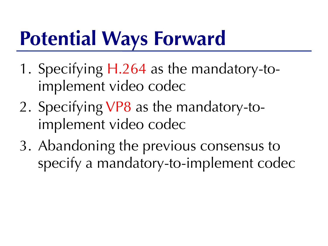#### **Potential Ways Forward**

- 1. Specifying H.264 as the mandatory-toimplement video codec
- 2. Specifying VP8 as the mandatory-toimplement video codec
- 3. Abandoning the previous consensus to specify a mandatory-to-implement codec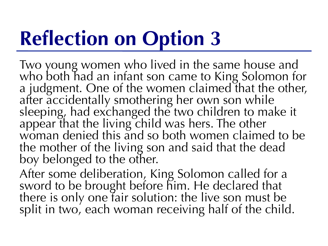### **Reflection on Option 3**

Two young women who lived in the same house and who both had an infant son came to King Solomon for a judgment. One of the women claimed that the other, after accidentally smothering her own son while sleeping, had exchanged the two children to make it appear that the living child was hers. The other woman denied this and so both women claimed to be the mother of the living son and said that the dead boy belonged to the other.

After some deliberation, King Solomon called for a sword to be brought before him. He declared that there is only one fair solution: the live son must be split in two, each woman receiving half of the child.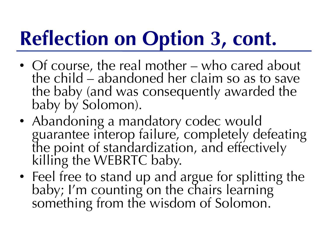## **Reflection on Option 3, cont.**

- Of course, the real mother who cared about the child – abandoned her claim so as to save the baby (and was consequently awarded the baby by Solomon).
- Abandoning a mandatory codec would guarantee interop failure, completely defeating<br>the point of standardization, and effectively killing the WEBRTC baby.
- Feel free to stand up and argue for splitting the baby; I'm counting on the chairs learning something from the wisdom of Solomon.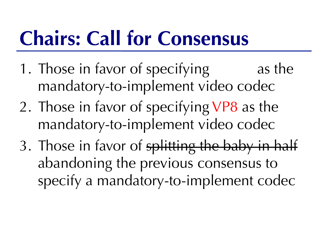### **Chairs: Call for Consensus**

- 1. Those in favor of specifying as the mandatory-to-implement video codec
- 2. Those in favor of specifying VP8 as the mandatory-to-implement video codec
- 3. Those in favor of splitting the baby in half abandoning the previous consensus to specify a mandatory-to-implement codec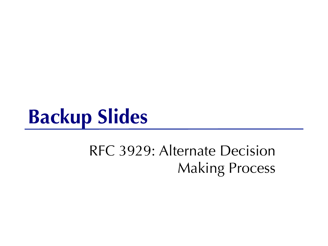#### **Backup Slides**

#### RFC 3929: Alternate Decision Making Process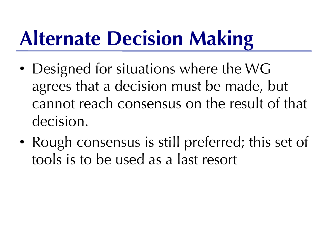## **Alternate Decision Making**

- Designed for situations where the WG agrees that a decision must be made, but cannot reach consensus on the result of that decision.
- Rough consensus is still preferred; this set of tools is to be used as a last resort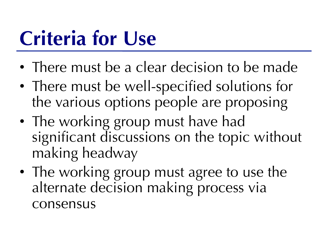### **Criteria for Use**

- There must be a clear decision to be made
- There must be well-specified solutions for the various options people are proposing
- The working group must have had significant discussions on the topic without making headway
- The working group must agree to use the alternate decision making process via consensus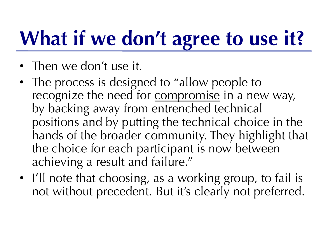## **What if we don't agree to use it?**

- Then we don't use it.
- The process is designed to "allow people to" recognize the need for **compromise** in a new way, by backing away from entrenched technical positions and by putting the technical choice in the hands of the broader community. They highlight that the choice for each participant is now between achieving a result and failure."
- I'll note that choosing, as a working group, to fail is not without precedent. But it's clearly not preferred.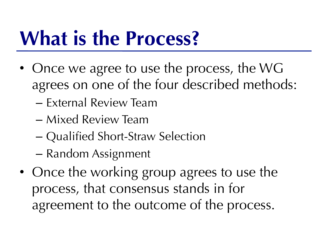#### **What is the Process?**

- Once we agree to use the process, the WG agrees on one of the four described methods:
	- External Review Team
	- Mixed Review Team
	- Qualified Short-Straw Selection
	- Random Assignment
- Once the working group agrees to use the process, that consensus stands in for agreement to the outcome of the process.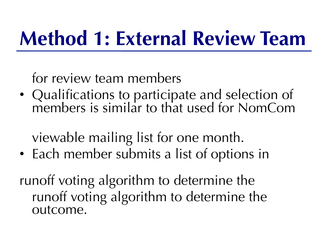#### **Method 1: External Review Team**

#### for review team members

• Qualifications to participate and selection of members is similar to that used for NomCom

viewable mailing list for one month.

• Each member submits a list of options in

runoff voting algorithm to determine the runoff voting algorithm to determine the outcome.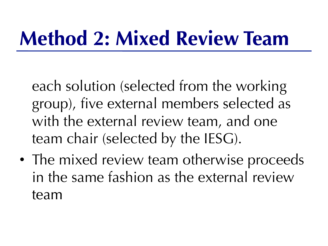### **Method 2: Mixed Review Team**

each solution (selected from the working group), five external members selected as with the external review team, and one team chair (selected by the IESG).

• The mixed review team otherwise proceeds in the same fashion as the external review team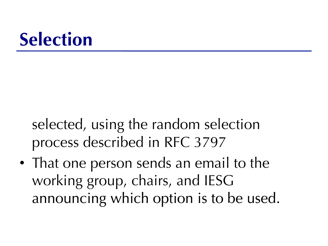#### **Selection**

selected, using the random selection process described in RFC 3797

• That one person sends an email to the working group, chairs, and IESG announcing which option is to be used.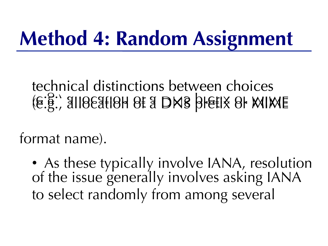### **Method 4: Random Assignment**

#### technical distinctions between choices (e.g., allocation of a DNS prefix or MIME

format name).

• As these typically involve IANA, resolution of the issue generally involves asking IANA to select randomly from among several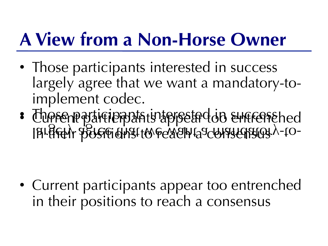#### **A View from a Non-Horse Owner**

- Those participants interested in success largely agree that we want a mandatory-toimplement codec.
- Those particie participate interseted on success the d in the mandature of the consensus and consensus and the largely and the largely consensus and the largely cons<br>I bridgely and a mandatory and provide that we have a mandatory consensus in the consensus of the mandatory of

• Current participants appear too entrenched in their positions to reach a consensus